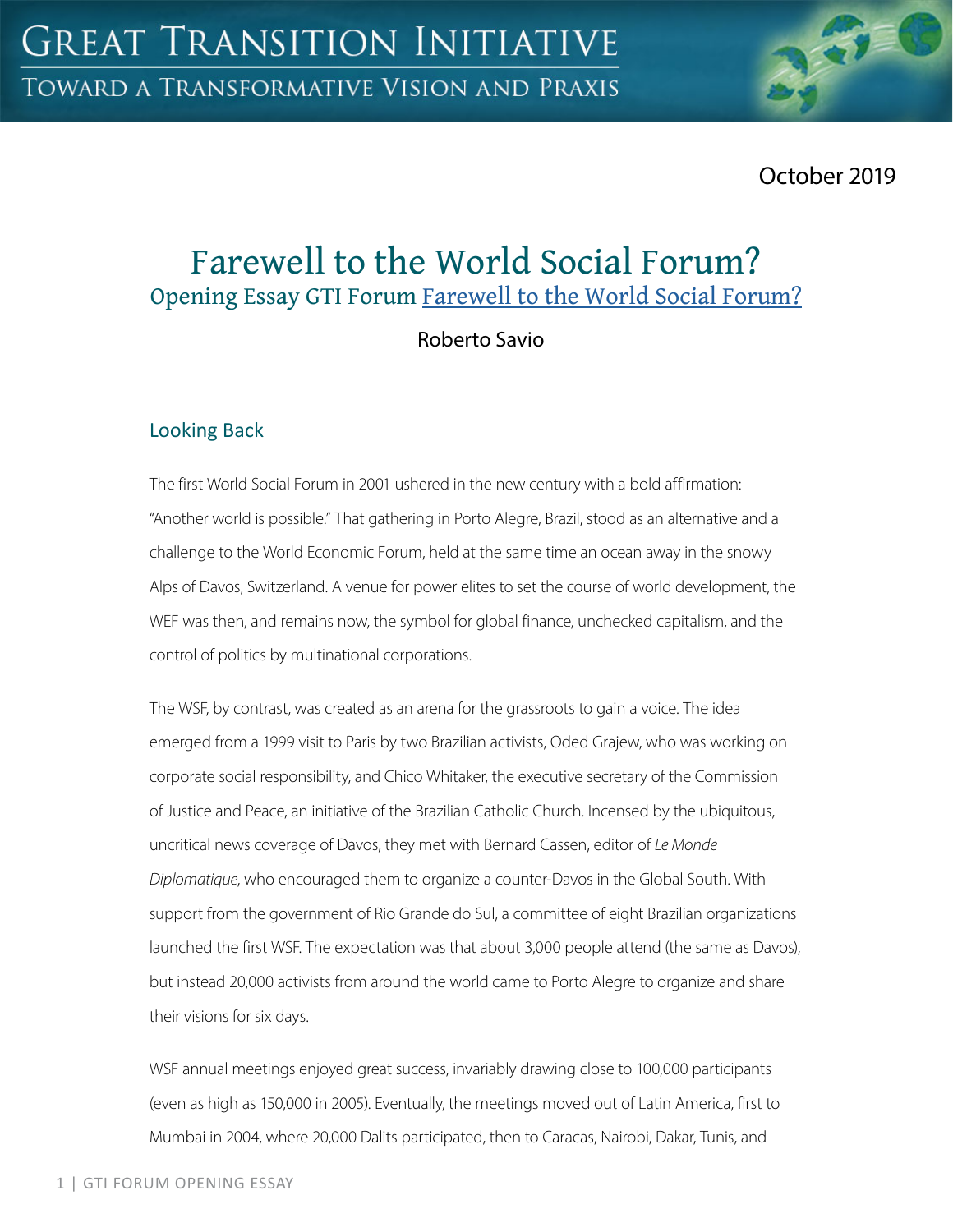October 2019

# Farewell to the World Social Forum? Opening Essay GTI Forum Farewell to the World Social Forum?

Roberto Savio

## Looking Back

The first World Social Forum in 2001 ushered in the new century with a bold affirmation: "Another world is possible." That gathering in Porto Alegre, Brazil, stood as an alternative and a challenge to the World Economic Forum, held at the same time an ocean away in the snowy Alps of Davos, Switzerland. A venue for power elites to set the course of world development, the WEF was then, and remains now, the symbol for global finance, unchecked capitalism, and the control of politics by multinational corporations.

The WSF, by contrast, was created as an arena for the grassroots to gain a voice. The idea emerged from a 1999 visit to Paris by two Brazilian activists, Oded Grajew, who was working on corporate social responsibility, and Chico Whitaker, the executive secretary of the Commission of Justice and Peace, an initiative of the Brazilian Catholic Church. Incensed by the ubiquitous, uncritical news coverage of Davos, they met with Bernard Cassen, editor of *Le Monde Diplomatique*, who encouraged them to organize a counter-Davos in the Global South. With support from the government of Rio Grande do Sul, a committee of eight Brazilian organizations launched the first WSF. The expectation was that about 3,000 people attend (the same as Davos), but instead 20,000 activists from around the world came to Porto Alegre to organize and share their visions for six days.

WSF annual meetings enjoyed great success, invariably drawing close to 100,000 participants (even as high as 150,000 in 2005). Eventually, the meetings moved out of Latin America, first to Mumbai in 2004, where 20,000 Dalits participated, then to Caracas, Nairobi, Dakar, Tunis, and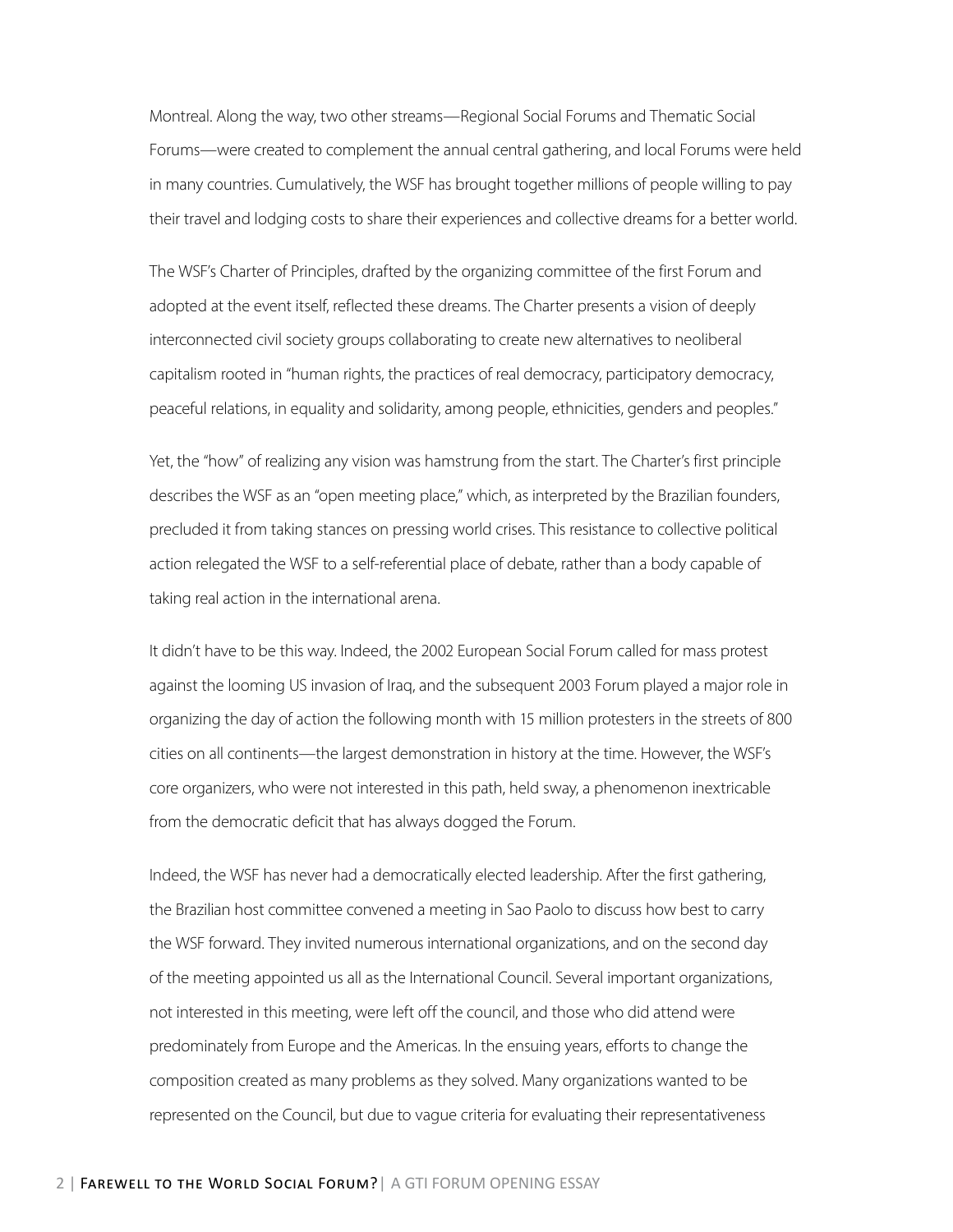Montreal. Along the way, two other streams—Regional Social Forums and Thematic Social Forums—were created to complement the annual central gathering, and local Forums were held in many countries. Cumulatively, the WSF has brought together millions of people willing to pay their travel and lodging costs to share their experiences and collective dreams for a better world.

The WSF's Charter of Principles, drafted by the organizing committee of the first Forum and adopted at the event itself, reflected these dreams. The Charter presents a vision of deeply interconnected civil society groups collaborating to create new alternatives to neoliberal capitalism rooted in "human rights, the practices of real democracy, participatory democracy, peaceful relations, in equality and solidarity, among people, ethnicities, genders and peoples."

Yet, the "how" of realizing any vision was hamstrung from the start. The Charter's first principle describes the WSF as an "open meeting place," which, as interpreted by the Brazilian founders, precluded it from taking stances on pressing world crises. This resistance to collective political action relegated the WSF to a self-referential place of debate, rather than a body capable of taking real action in the international arena.

It didn't have to be this way. Indeed, the 2002 European Social Forum called for mass protest against the looming US invasion of Iraq, and the subsequent 2003 Forum played a major role in organizing the day of action the following month with 15 million protesters in the streets of 800 cities on all continents—the largest demonstration in history at the time. However, the WSF's core organizers, who were not interested in this path, held sway, a phenomenon inextricable from the democratic deficit that has always dogged the Forum.

Indeed, the WSF has never had a democratically elected leadership. After the first gathering, the Brazilian host committee convened a meeting in Sao Paolo to discuss how best to carry the WSF forward. They invited numerous international organizations, and on the second day of the meeting appointed us all as the International Council. Several important organizations, not interested in this meeting, were left off the council, and those who did attend were predominately from Europe and the Americas. In the ensuing years, efforts to change the composition created as many problems as they solved. Many organizations wanted to be represented on the Council, but due to vague criteria for evaluating their representativeness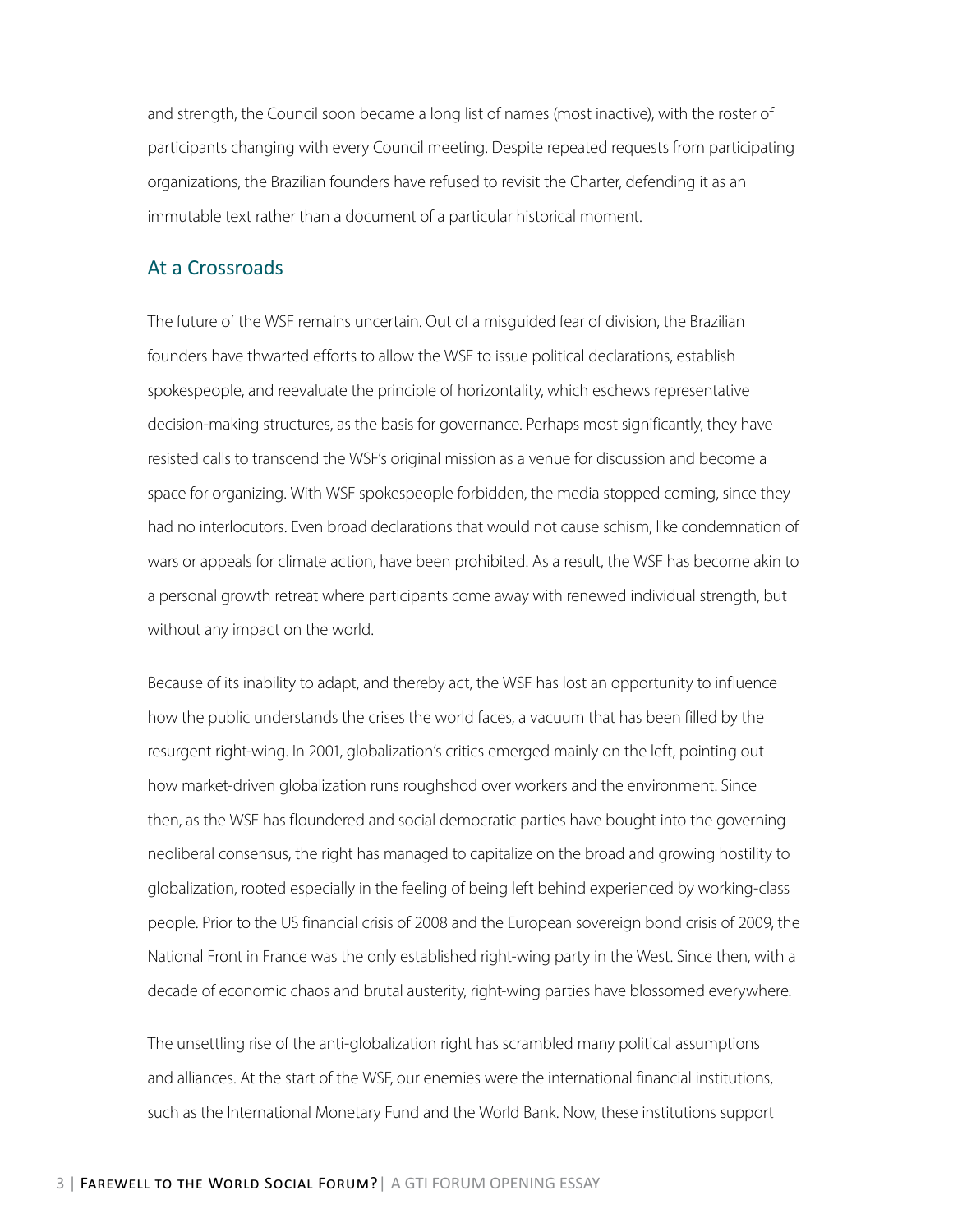and strength, the Council soon became a long list of names (most inactive), with the roster of participants changing with every Council meeting. Despite repeated requests from participating organizations, the Brazilian founders have refused to revisit the Charter, defending it as an immutable text rather than a document of a particular historical moment.

#### At a Crossroads

The future of the WSF remains uncertain. Out of a misguided fear of division, the Brazilian founders have thwarted efforts to allow the WSF to issue political declarations, establish spokespeople, and reevaluate the principle of horizontality, which eschews representative decision-making structures, as the basis for governance. Perhaps most significantly, they have resisted calls to transcend the WSF's original mission as a venue for discussion and become a space for organizing. With WSF spokespeople forbidden, the media stopped coming, since they had no interlocutors. Even broad declarations that would not cause schism, like condemnation of wars or appeals for climate action, have been prohibited. As a result, the WSF has become akin to a personal growth retreat where participants come away with renewed individual strength, but without any impact on the world.

Because of its inability to adapt, and thereby act, the WSF has lost an opportunity to influence how the public understands the crises the world faces, a vacuum that has been filled by the resurgent right-wing. In 2001, globalization's critics emerged mainly on the left, pointing out how market-driven globalization runs roughshod over workers and the environment. Since then, as the WSF has floundered and social democratic parties have bought into the governing neoliberal consensus, the right has managed to capitalize on the broad and growing hostility to globalization, rooted especially in the feeling of being left behind experienced by working-class people. Prior to the US financial crisis of 2008 and the European sovereign bond crisis of 2009, the National Front in France was the only established right-wing party in the West. Since then, with a decade of economic chaos and brutal austerity, right-wing parties have blossomed everywhere.

The unsettling rise of the anti-globalization right has scrambled many political assumptions and alliances. At the start of the WSF, our enemies were the international financial institutions, such as the International Monetary Fund and the World Bank. Now, these institutions support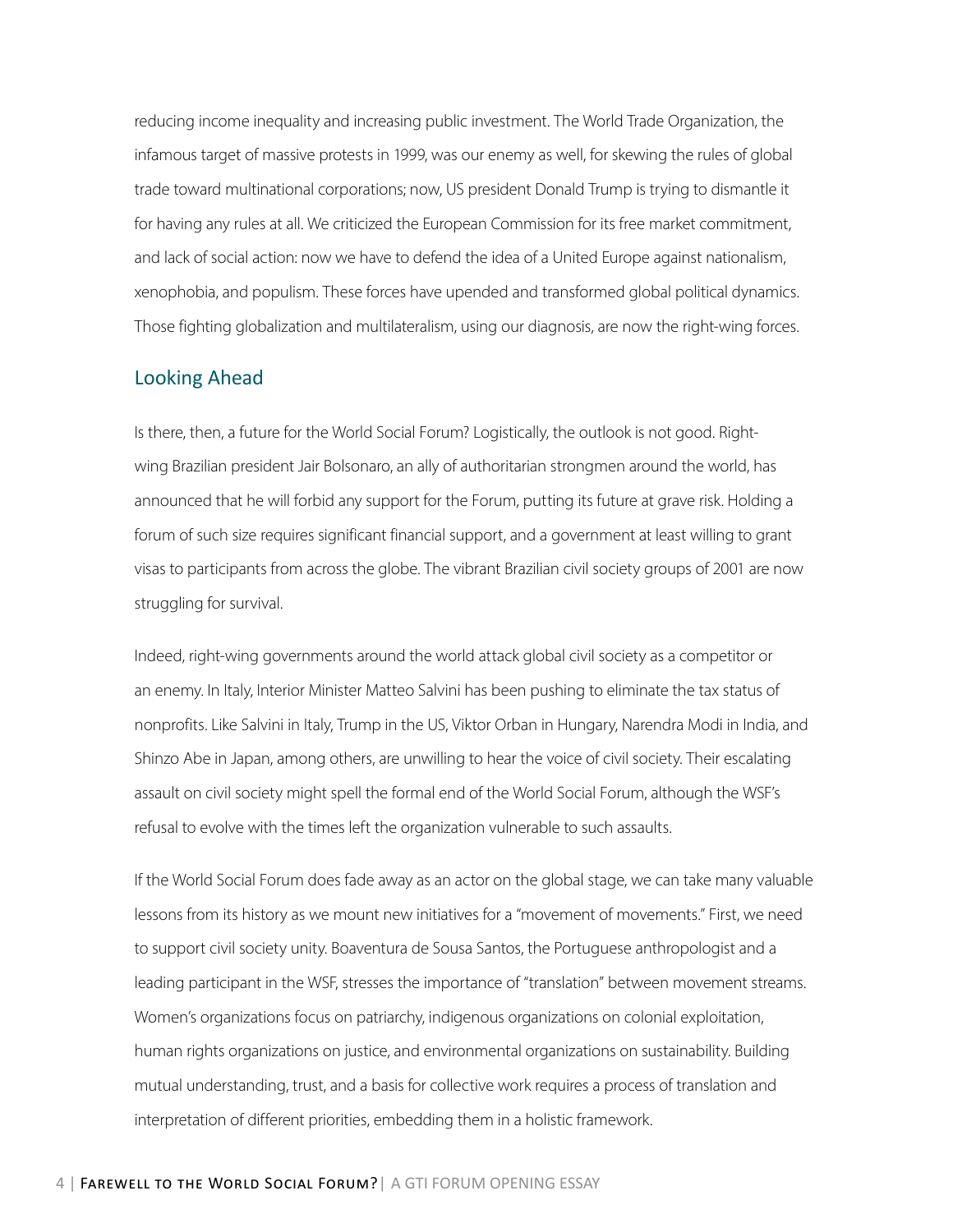reducing income inequality and increasing public investment. The World Trade Organization, the infamous target of massive protests in 1999, was our enemy as well, for skewing the rules of global trade toward multinational corporations; now, US president Donald Trump is trying to dismantle it for having any rules at all. We criticized the European Commission for its free market commitment, and lack of social action: now we have to defend the idea of a United Europe against nationalism, xenophobia, and populism. These forces have upended and transformed global political dynamics. Those fighting globalization and multilateralism, using our diagnosis, are now the right-wing forces.

#### Looking Ahead

Is there, then, a future for the World Social Forum? Logistically, the outlook is not good. Rightwing Brazilian president Jair Bolsonaro, an ally of authoritarian strongmen around the world, has announced that he will forbid any support for the Forum, putting its future at grave risk. Holding a forum of such size requires significant financial support, and a government at least willing to grant visas to participants from across the globe. The vibrant Brazilian civil society groups of 2001 are now struggling for survival.

Indeed, right-wing governments around the world attack global civil society as a competitor or an enemy. In Italy, Interior Minister Matteo Salvini has been pushing to eliminate the tax status of nonprofits. Like Salvini in Italy, Trump in the US, Viktor Orban in Hungary, Narendra Modi in India, and Shinzo Abe in Japan, among others, are unwilling to hear the voice of civil society. Their escalating assault on civil society might spell the formal end of the World Social Forum, although the WSF's refusal to evolve with the times left the organization vulnerable to such assaults.

If the World Social Forum does fade away as an actor on the global stage, we can take many valuable lessons from its history as we mount new initiatives for a "movement of movements." First, we need to support civil society unity. Boaventura de Sousa Santos, the Portuguese anthropologist and a leading participant in the WSF, stresses the importance of "translation" between movement streams. Women's organizations focus on patriarchy, indigenous organizations on colonial exploitation, human rights organizations on justice, and environmental organizations on sustainability. Building mutual understanding, trust, and a basis for collective work requires a process of translation and interpretation of different priorities, embedding them in a holistic framework.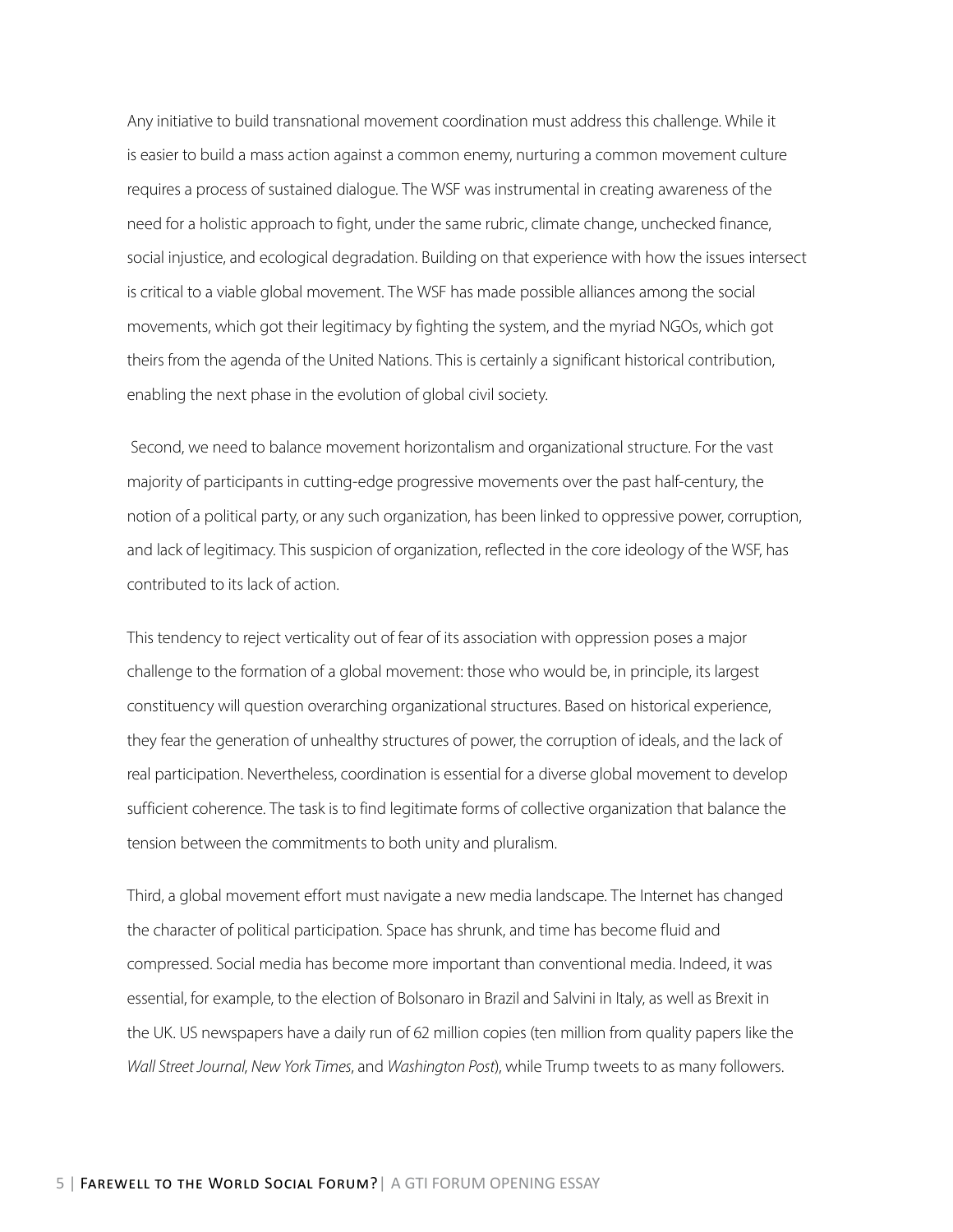Any initiative to build transnational movement coordination must address this challenge. While it is easier to build a mass action against a common enemy, nurturing a common movement culture requires a process of sustained dialogue. The WSF was instrumental in creating awareness of the need for a holistic approach to fight, under the same rubric, climate change, unchecked finance, social injustice, and ecological degradation. Building on that experience with how the issues intersect is critical to a viable global movement. The WSF has made possible alliances among the social movements, which got their legitimacy by fighting the system, and the myriad NGOs, which got theirs from the agenda of the United Nations. This is certainly a significant historical contribution, enabling the next phase in the evolution of global civil society.

 Second, we need to balance movement horizontalism and organizational structure. For the vast majority of participants in cutting-edge progressive movements over the past half-century, the notion of a political party, or any such organization, has been linked to oppressive power, corruption, and lack of legitimacy. This suspicion of organization, reflected in the core ideology of the WSF, has contributed to its lack of action.

This tendency to reject verticality out of fear of its association with oppression poses a major challenge to the formation of a global movement: those who would be, in principle, its largest constituency will question overarching organizational structures. Based on historical experience, they fear the generation of unhealthy structures of power, the corruption of ideals, and the lack of real participation. Nevertheless, coordination is essential for a diverse global movement to develop sufficient coherence. The task is to find legitimate forms of collective organization that balance the tension between the commitments to both unity and pluralism.

Third, a global movement effort must navigate a new media landscape. The Internet has changed the character of political participation. Space has shrunk, and time has become fluid and compressed. Social media has become more important than conventional media. Indeed, it was essential, for example, to the election of Bolsonaro in Brazil and Salvini in Italy, as well as Brexit in the UK. US newspapers have a daily run of 62 million copies (ten million from quality papers like the *Wall Street Journal*, *New York Times*, and *Washington Post*), while Trump tweets to as many followers.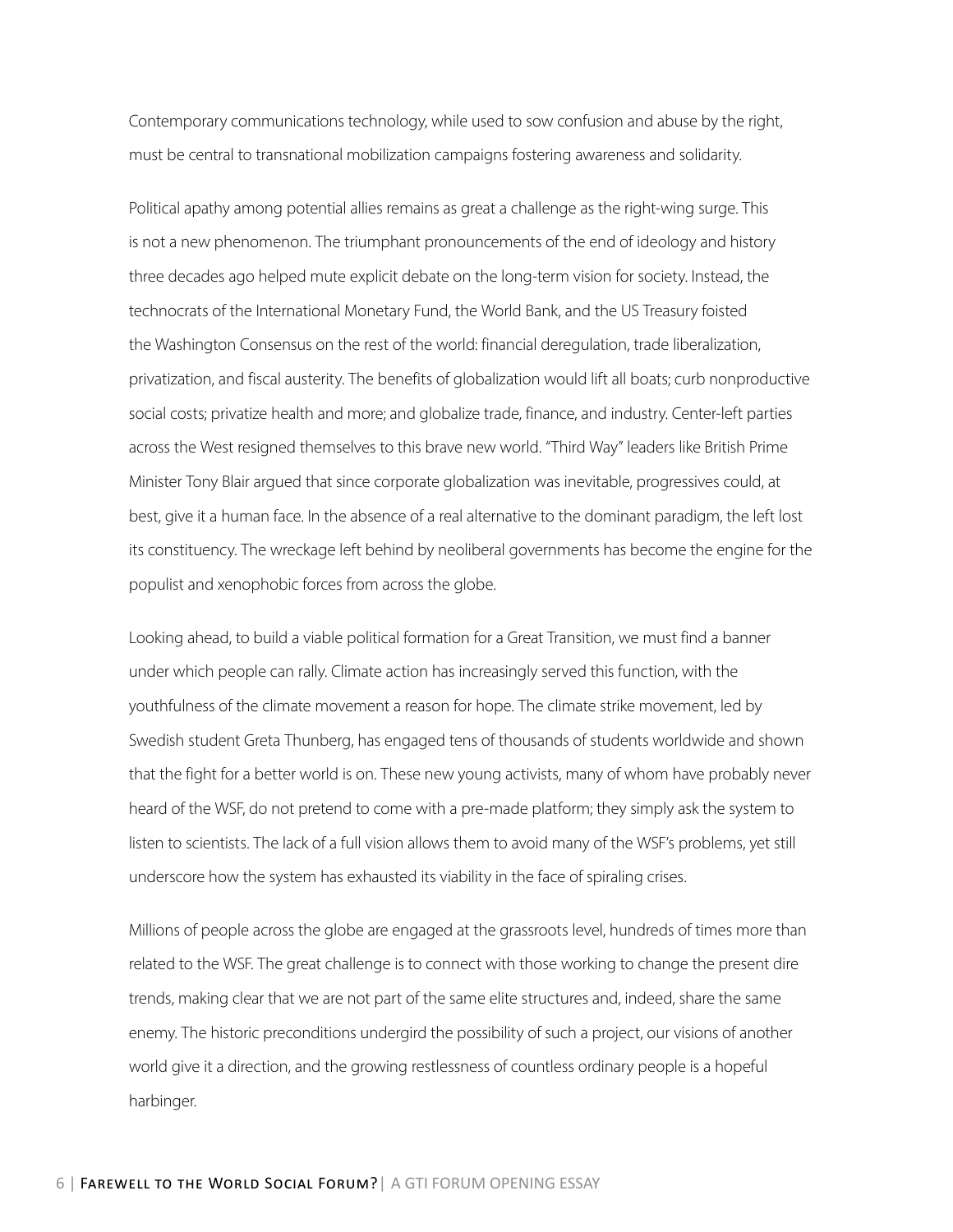Contemporary communications technology, while used to sow confusion and abuse by the right, must be central to transnational mobilization campaigns fostering awareness and solidarity.

Political apathy among potential allies remains as great a challenge as the right-wing surge. This is not a new phenomenon. The triumphant pronouncements of the end of ideology and history three decades ago helped mute explicit debate on the long-term vision for society. Instead, the technocrats of the International Monetary Fund, the World Bank, and the US Treasury foisted the Washington Consensus on the rest of the world: financial deregulation, trade liberalization, privatization, and fiscal austerity. The benefits of globalization would lift all boats; curb nonproductive social costs; privatize health and more; and globalize trade, finance, and industry. Center-left parties across the West resigned themselves to this brave new world. "Third Way" leaders like British Prime Minister Tony Blair argued that since corporate globalization was inevitable, progressives could, at best, give it a human face. In the absence of a real alternative to the dominant paradigm, the left lost its constituency. The wreckage left behind by neoliberal governments has become the engine for the populist and xenophobic forces from across the globe.

Looking ahead, to build a viable political formation for a Great Transition, we must find a banner under which people can rally. Climate action has increasingly served this function, with the youthfulness of the climate movement a reason for hope. The climate strike movement, led by Swedish student Greta Thunberg, has engaged tens of thousands of students worldwide and shown that the fight for a better world is on. These new young activists, many of whom have probably never heard of the WSF, do not pretend to come with a pre-made platform; they simply ask the system to listen to scientists. The lack of a full vision allows them to avoid many of the WSF's problems, yet still underscore how the system has exhausted its viability in the face of spiraling crises.

Millions of people across the globe are engaged at the grassroots level, hundreds of times more than related to the WSF. The great challenge is to connect with those working to change the present dire trends, making clear that we are not part of the same elite structures and, indeed, share the same enemy. The historic preconditions undergird the possibility of such a project, our visions of another world give it a direction, and the growing restlessness of countless ordinary people is a hopeful harbinger.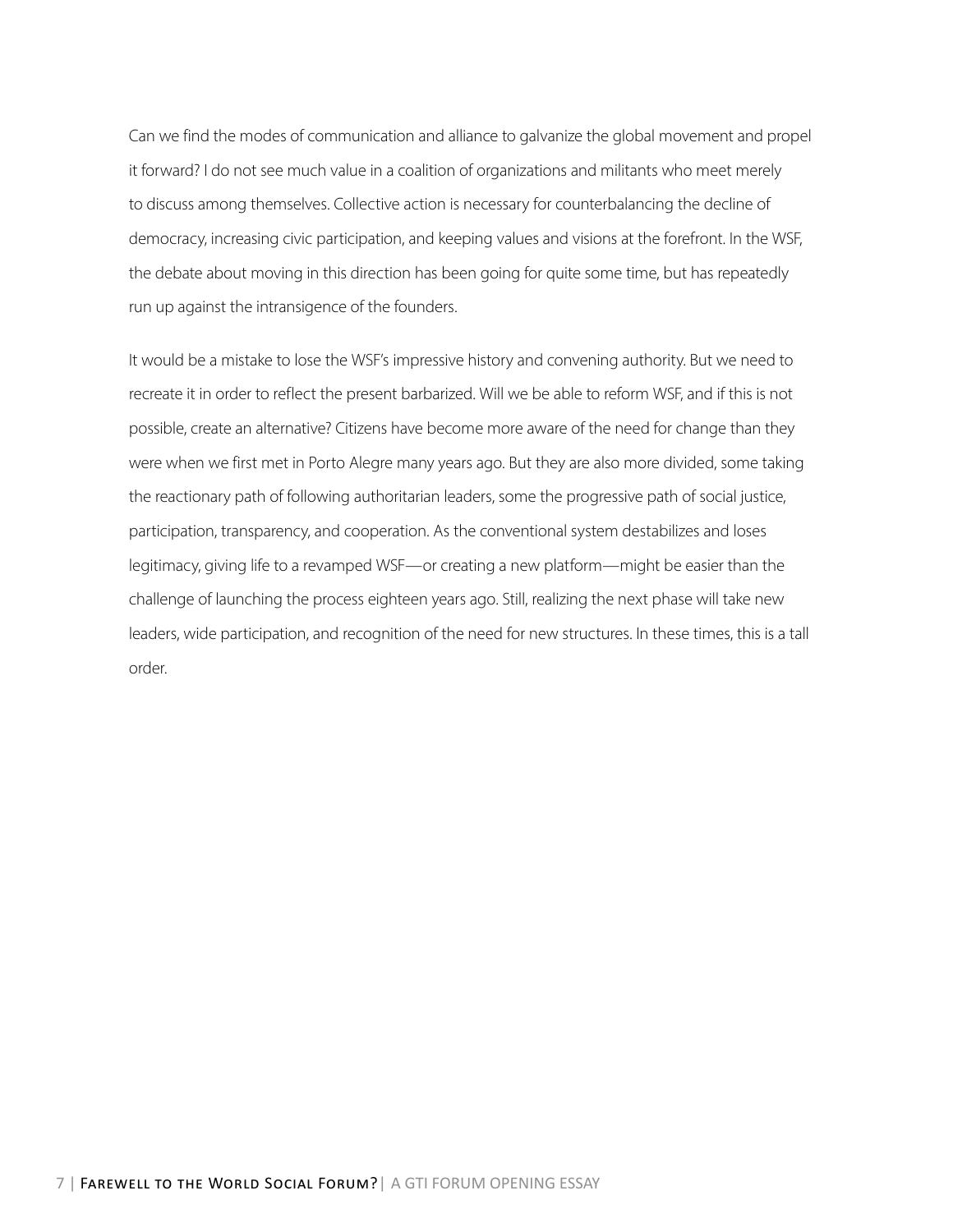Can we find the modes of communication and alliance to galvanize the global movement and propel it forward? I do not see much value in a coalition of organizations and militants who meet merely to discuss among themselves. Collective action is necessary for counterbalancing the decline of democracy, increasing civic participation, and keeping values and visions at the forefront. In the WSF, the debate about moving in this direction has been going for quite some time, but has repeatedly run up against the intransigence of the founders.

It would be a mistake to lose the WSF's impressive history and convening authority. But we need to recreate it in order to reflect the present barbarized. Will we be able to reform WSF, and if this is not possible, create an alternative? Citizens have become more aware of the need for change than they were when we first met in Porto Alegre many years ago. But they are also more divided, some taking the reactionary path of following authoritarian leaders, some the progressive path of social justice, participation, transparency, and cooperation. As the conventional system destabilizes and loses legitimacy, giving life to a revamped WSF—or creating a new platform—might be easier than the challenge of launching the process eighteen years ago. Still, realizing the next phase will take new leaders, wide participation, and recognition of the need for new structures. In these times, this is a tall order.